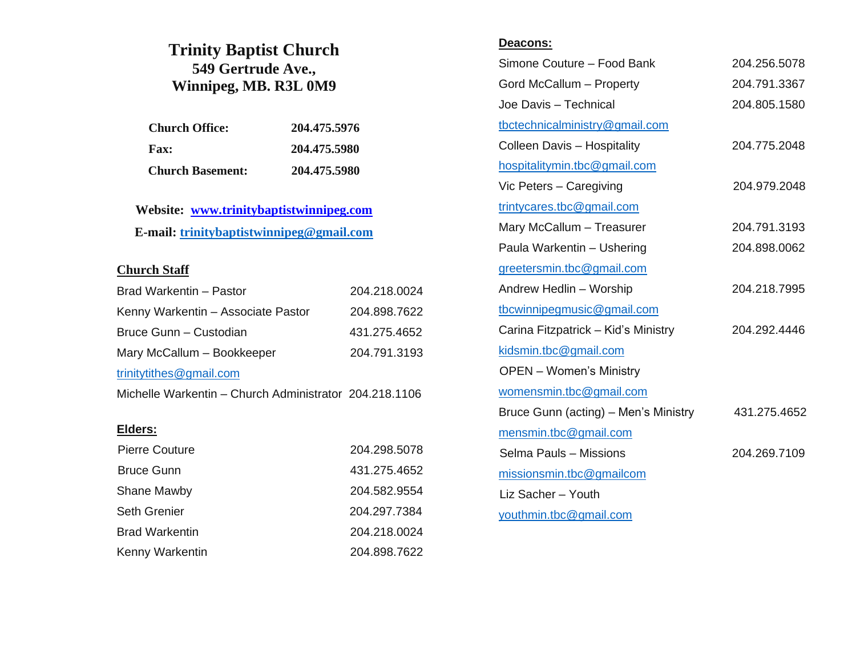# **Trinity Baptist Church 549 Gertrude Ave., Winnipeg, MB. R3L 0M9**

| <b>Church Office:</b>   | 204.475.5976 |
|-------------------------|--------------|
| <b>Fax:</b>             | 204.475.5980 |
| <b>Church Basement:</b> | 204.475.5980 |

**Website: www.trinitybaptistwinnipeg.com E-mail: [trinitybaptistwinnipeg@gmail.com](mailto:trinitybaptistwinnipeg@gmail.com)**

#### **Church Staff**

| Brad Warkentin - Pastor                                | 204.218.0024 |
|--------------------------------------------------------|--------------|
| Kenny Warkentin - Associate Pastor                     | 204.898.7622 |
| Bruce Gunn – Custodian                                 | 431.275.4652 |
| Mary McCallum - Bookkeeper                             | 204.791.3193 |
| trinitytithes@gmail.com                                |              |
| Michelle Warkentin - Church Administrator 204.218.1106 |              |
|                                                        |              |
| Elders:                                                |              |
| <b>Pierre Couture</b>                                  | 204.298.5078 |
| <b>Bruce Gunn</b>                                      | 431.275.4652 |
| Shane Mawby                                            | 204.582.9554 |
| <b>Seth Grenier</b>                                    | 204.297.7384 |
| <b>Brad Warkentin</b>                                  | 204.218.0024 |
| Kenny Warkentin                                        | 204.898.7622 |

#### **Deacons:**

| Simone Couture - Food Bank           | 204.256.5078 |
|--------------------------------------|--------------|
| Gord McCallum - Property             | 204.791.3367 |
| Joe Davis - Technical                | 204.805.1580 |
| tbctechnicalministry@gmail.com       |              |
| <b>Colleen Davis - Hospitality</b>   | 204.775.2048 |
| hospitalitymin.tbc@gmail.com         |              |
| Vic Peters - Caregiving              | 204.979.2048 |
| trintycares.tbc@gmail.com            |              |
| Mary McCallum - Treasurer            | 204.791.3193 |
| Paula Warkentin - Ushering           | 204.898.0062 |
| greetersmin.tbc@gmail.com            |              |
| Andrew Hedlin - Worship              | 204.218.7995 |
| tbcwinnipegmusic@gmail.com           |              |
| Carina Fitzpatrick - Kid's Ministry  | 204.292.4446 |
| kidsmin.tbc@gmail.com                |              |
| <b>OPEN</b> – Women's Ministry       |              |
| womensmin.tbc@gmail.com              |              |
| Bruce Gunn (acting) - Men's Ministry | 431.275.4652 |
| mensmin.tbc@gmail.com                |              |
| Selma Pauls - Missions               | 204.269.7109 |
| missionsmin.tbc@gmailcom             |              |
| Liz Sacher - Youth                   |              |
| youthmin.tbc@gmail.com               |              |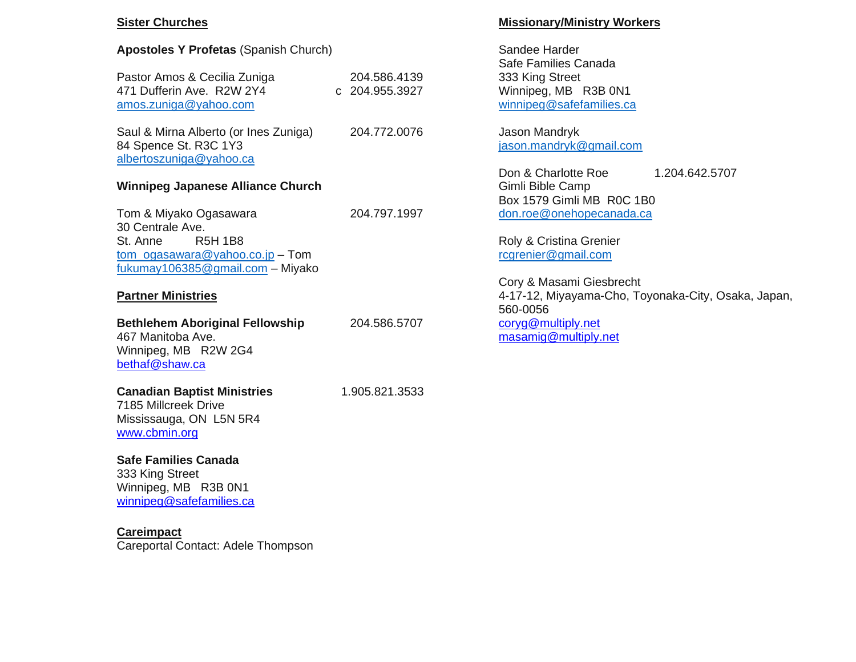### **Sister Churches**

| <b>Apostoles Y Profetas (Spanish Church)</b>                                                                                            |                                |
|-----------------------------------------------------------------------------------------------------------------------------------------|--------------------------------|
| Pastor Amos & Cecilia Zuniga<br>471 Dufferin Ave. R2W 2Y4<br>amos.zuniga@yahoo.com                                                      | 204.586.4139<br>c 204.955.3927 |
| Saul & Mirna Alberto (or Ines Zuniga)<br>84 Spence St. R3C 1Y3<br>albertoszuniga@yahoo.ca                                               | 204.772.0076                   |
| <b>Winnipeg Japanese Alliance Church</b>                                                                                                |                                |
| Tom & Miyako Ogasawara<br>30 Centrale Ave.<br>St. Anne R5H 1B8<br>$tom_ogasawara@yahoo.co.jp - Tom$<br>fukumay106385@gmail.com - Miyako | 204.797.1997                   |

#### **Partner Ministries**

| <b>Bethlehem Aboriginal Fellowship</b><br>467 Manitoba Ave.<br>Winnipeg, MB R2W 2G4<br>bethaf@shaw.ca  | 204.586.5707   |
|--------------------------------------------------------------------------------------------------------|----------------|
| <b>Canadian Baptist Ministries</b><br>7185 Millcreek Drive<br>Mississauga, ON L5N 5R4<br>www.cbmin.org | 1.905.821.3533 |
| Safe Families Canada<br>333 King Street<br>Winnipeg, MB R3B 0N1                                        |                |

## **Missionary/Ministry Workers**

Sandee Harder Safe Families Canada 333 King Street Winnipeg, MB R3B 0N1 [winnipeg@safefamilies.ca](mailto:winnipeg@safefamilies.ca) 

Jason Mandryk [jason.mandryk@gmail.com](mailto:jason.mandryk@gmail.com)

Don & Charlotte Roe 1.204.642.5707 Gimli Bible Camp Box 1579 Gimli MB R0C 1B0 [don.roe@onehopecanada.ca](mailto:don.roe@onehopecanada.ca)

Roly & Cristina Grenier [rcgrenier@gmail.com](mailto:rcgrenier@gmail.com)

Cory & Masami Giesbrecht 4-17-12, Miyayama-Cho, Toyonaka-City, Osaka, Japan, 560-0056 [coryg@multiply.net](mailto:coryg@multiply.net) [masamig@multiply.net](mailto:masamig@multiply.net)

**Careimpact** Careportal Contact: Adele Thompson

[winnipeg@safefamilies.ca](mailto:winnipeg@safefamilies.ca)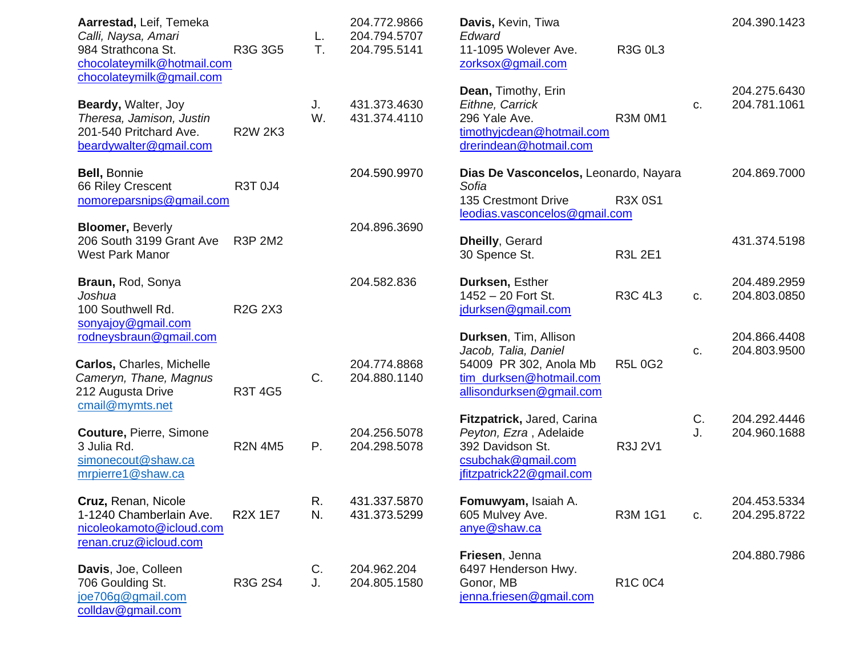| Aarrestad, Leif, Temeka<br>Calli, Naysa, Amari<br>984 Strathcona St.<br>chocolateymilk@hotmail.com<br>chocolateymilk@gmail.com | R3G 3G5        | L.<br>T. | 204.772.9866<br>204.794.5707<br>204.795.5141 | Davis, Kevin, Tiwa<br>Edward<br>11-1095 Wolever Ave.<br>zorksox@gmail.com                                                      | <b>R3G 0L3</b> |          | 204.390.1423                 |
|--------------------------------------------------------------------------------------------------------------------------------|----------------|----------|----------------------------------------------|--------------------------------------------------------------------------------------------------------------------------------|----------------|----------|------------------------------|
| Beardy, Walter, Joy<br>Theresa, Jamison, Justin<br>201-540 Pritchard Ave.<br>beardywalter@gmail.com                            | <b>R2W 2K3</b> | J.<br>W. | 431.373.4630<br>431.374.4110                 | Dean, Timothy, Erin<br>Eithne, Carrick<br>296 Yale Ave.<br>timothyjcdean@hotmail.com<br>drerindean@hotmail.com                 | R3M 0M1        | C.       | 204.275.6430<br>204.781.1061 |
| Bell, Bonnie<br>66 Riley Crescent<br>nomoreparsnips@gmail.com                                                                  | R3T 0J4        |          | 204.590.9970                                 | Dias De Vasconcelos, Leonardo, Nayara<br>Sofia<br>135 Crestmont Drive<br>leodias.vasconcelos@gmail.com                         | <b>R3X 0S1</b> |          | 204.869.7000                 |
| <b>Bloomer, Beverly</b><br>206 South 3199 Grant Ave<br><b>West Park Manor</b>                                                  | <b>R3P 2M2</b> |          | 204.896.3690                                 | <b>Dheilly, Gerard</b><br>30 Spence St.                                                                                        | <b>R3L 2E1</b> |          | 431.374.5198                 |
| Braun, Rod, Sonya<br>Joshua<br>100 Southwell Rd.<br>sonyajoy@gmail.com                                                         | <b>R2G 2X3</b> |          | 204.582.836                                  | Durksen, Esther<br>1452 - 20 Fort St.<br>jdurksen@gmail.com                                                                    | <b>R3C 4L3</b> | C.       | 204.489.2959<br>204.803.0850 |
| rodneysbraun@gmail.com<br>Carlos, Charles, Michelle<br>Cameryn, Thane, Magnus<br>212 Augusta Drive                             | R3T 4G5        | C.       | 204.774.8868<br>204.880.1140                 | Durksen, Tim, Allison<br>Jacob, Talia, Daniel<br>54009 PR 302, Anola Mb<br>tim durksen@hotmail.com<br>allisondurksen@gmail.com | <b>R5L0G2</b>  | C.       | 204.866.4408<br>204.803.9500 |
| cmail@mymts.net<br><b>Couture, Pierre, Simone</b><br>3 Julia Rd.<br>simonecout@shaw.ca<br>mrpierre1@shaw.ca                    | <b>R2N 4M5</b> | P.       | 204.256.5078<br>204.298.5078                 | Fitzpatrick, Jared, Carina<br>Peyton, Ezra, Adelaide<br>392 Davidson St.<br>csubchak@gmail.com<br>jfitzpatrick22@gmail.com     | R3J 2V1        | C.<br>J. | 204.292.4446<br>204.960.1688 |
| Cruz, Renan, Nicole<br>1-1240 Chamberlain Ave.<br>nicoleokamoto@icloud.com<br>renan.cruz@icloud.com                            | <b>R2X 1E7</b> | R.<br>N. | 431.337.5870<br>431.373.5299                 | Fomuwyam, Isaiah A.<br>605 Mulvey Ave.<br>anye@shaw.ca                                                                         | <b>R3M 1G1</b> | C.       | 204.453.5334<br>204.295.8722 |
| Davis, Joe, Colleen<br>706 Goulding St.<br>joe706g@gmail.com<br>colldav@gmail.com                                              | R3G 2S4        | C.<br>J. | 204.962.204<br>204.805.1580                  | Friesen, Jenna<br>6497 Henderson Hwy.<br>Gonor, MB<br>jenna.friesen@gmail.com                                                  | <b>R1C 0C4</b> |          | 204.880.7986                 |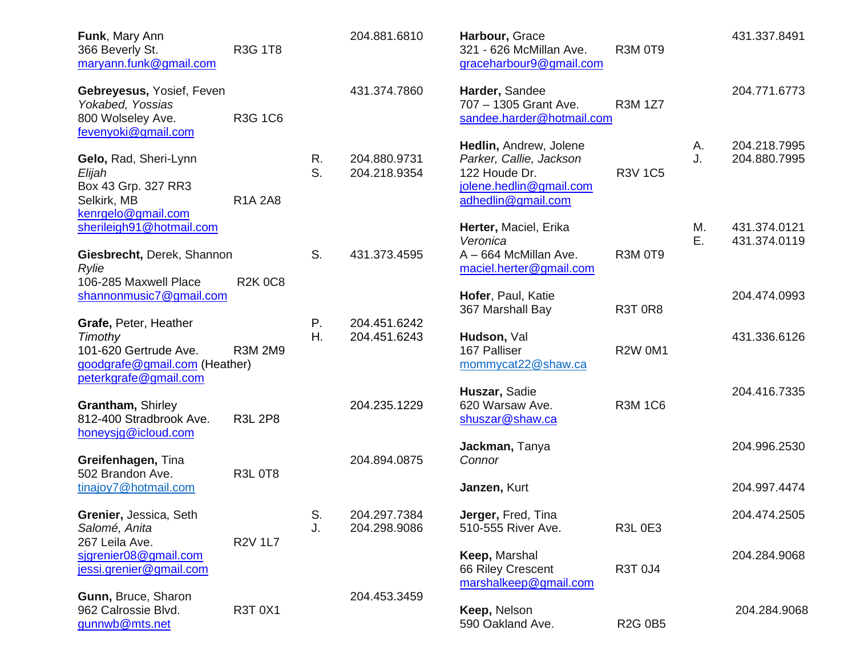| Funk, Mary Ann<br>366 Beverly St.<br>maryann.funk@gmail.com                                                                | R3G 1T8        |          | 204.881.6810                 | Harbour, Grace<br>321 - 626 McMillan Ave.<br>graceharbour9@gmail.com                                                | <b>R3M 0T9</b> |          | 431.337.8491                 |
|----------------------------------------------------------------------------------------------------------------------------|----------------|----------|------------------------------|---------------------------------------------------------------------------------------------------------------------|----------------|----------|------------------------------|
| Gebreyesus, Yosief, Feven<br>Yokabed, Yossias<br>800 Wolseley Ave.<br>fevenyoki@gmail.com                                  | <b>R3G 1C6</b> |          | 431.374.7860                 | Harder, Sandee<br>707 - 1305 Grant Ave.<br>sandee.harder@hotmail.com                                                | <b>R3M 1Z7</b> |          | 204.771.6773                 |
| Gelo, Rad, Sheri-Lynn<br>Elijah<br>Box 43 Grp. 327 RR3<br>Selkirk, MB<br>kenrgelo@gmail.com                                | <b>R1A 2A8</b> | R.<br>S. | 204.880.9731<br>204.218.9354 | Hedlin, Andrew, Jolene<br>Parker, Callie, Jackson<br>122 Houde Dr.<br>jolene.hedlin@gmail.com<br>adhedlin@gmail.com | <b>R3V 1C5</b> | А.<br>J. | 204.218.7995<br>204.880.7995 |
| sherileigh91@hotmail.com                                                                                                   |                |          |                              | Herter, Maciel, Erika<br>Veronica                                                                                   |                | М.<br>Е. | 431.374.0121<br>431.374.0119 |
| Giesbrecht, Derek, Shannon<br>Rylie<br>106-285 Maxwell Place                                                               | <b>R2K0C8</b>  | S.       | 431.373.4595                 | A - 664 McMillan Ave.<br>maciel.herter@gmail.com                                                                    | R3M 0T9        |          |                              |
| shannonmusic7@gmail.com                                                                                                    |                |          |                              | Hofer, Paul, Katie<br>367 Marshall Bay                                                                              | <b>R3T 0R8</b> |          | 204.474.0993                 |
| Grafe, Peter, Heather<br><b>Timothy</b><br>101-620 Gertrude Ave.<br>goodgrafe@gmail.com (Heather)<br>peterkgrafe@gmail.com | <b>R3M 2M9</b> | Ρ.<br>Η. | 204.451.6242<br>204.451.6243 | Hudson, Val<br>167 Palliser<br>mommycat22@shaw.ca                                                                   | <b>R2W 0M1</b> |          | 431.336.6126                 |
| Grantham, Shirley<br>812-400 Stradbrook Ave.<br>honeysig@icloud.com                                                        | <b>R3L 2P8</b> |          | 204.235.1229                 | Huszar, Sadie<br>620 Warsaw Ave.<br>shuszar@shaw.ca                                                                 | <b>R3M 1C6</b> |          | 204.416.7335                 |
| Greifenhagen, Tina<br>502 Brandon Ave.                                                                                     | <b>R3L 0T8</b> |          | 204.894.0875                 | Jackman, Tanya<br>Connor                                                                                            |                |          | 204.996.2530                 |
| tinajoy7@hotmail.com                                                                                                       |                |          |                              | Janzen, Kurt                                                                                                        |                |          | 204.997.4474                 |
| Grenier, Jessica, Seth<br>Salomé, Anita<br>267 Leila Ave.                                                                  | <b>R2V 1L7</b> | S.<br>J. | 204.297.7384<br>204.298.9086 | Jerger, Fred, Tina<br>510-555 River Ave.                                                                            | <b>R3L 0E3</b> |          | 204.474.2505                 |
| sigrenier08@gmail.com<br>jessi.grenier@gmail.com                                                                           |                |          |                              | Keep, Marshal<br>66 Riley Crescent<br>marshalkeep@gmail.com                                                         | R3T 0J4        |          | 204.284.9068                 |
| Gunn, Bruce, Sharon<br>962 Calrossie Blvd.<br>gunnwb@mts.net                                                               | <b>R3T 0X1</b> |          | 204.453.3459                 | Keep, Nelson<br>590 Oakland Ave.                                                                                    | <b>R2G 0B5</b> |          | 204.284.9068                 |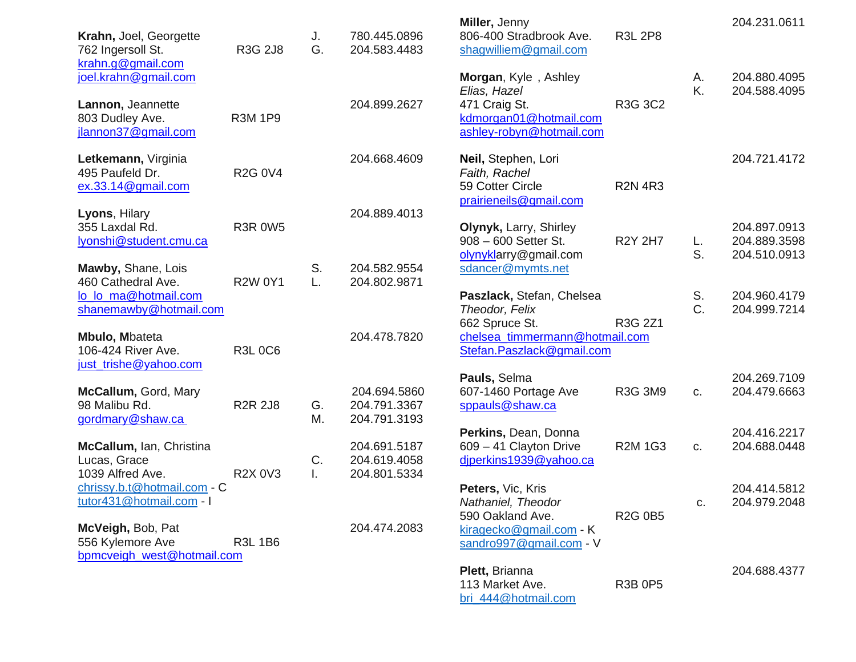| Krahn, Joel, Georgette<br>762 Ingersoll St.<br>krahn.g@gmail.com     | <b>R3G 2J8</b> | J.<br>G. | 780.445.0896<br>204.583.4483                 | Miller, Jenny<br>806-400 Stradbrook Ave.<br>shagwilliem@gmail.com                  | <b>R3L 2P8</b> |          | 204.231.0611                                 |
|----------------------------------------------------------------------|----------------|----------|----------------------------------------------|------------------------------------------------------------------------------------|----------------|----------|----------------------------------------------|
| joel.krahn@gmail.com<br>Lannon, Jeannette<br>803 Dudley Ave.         | <b>R3M 1P9</b> |          | 204.899.2627                                 | Morgan, Kyle, Ashley<br>Elias, Hazel<br>471 Craig St.<br>kdmorgan01@hotmail.com    | R3G 3C2        | А.<br>K. | 204.880.4095<br>204.588.4095                 |
| jlannon37@gmail.com                                                  |                |          |                                              | ashley-robyn@hotmail.com                                                           |                |          |                                              |
| Letkemann, Virginia<br>495 Paufeld Dr.<br>ex.33.14@gmail.com         | <b>R2G 0V4</b> |          | 204.668.4609                                 | Neil, Stephen, Lori<br>Faith, Rachel<br>59 Cotter Circle<br>prairieneils@gmail.com | <b>R2N 4R3</b> |          | 204.721.4172                                 |
| Lyons, Hilary<br>355 Laxdal Rd.<br>lyonshi@student.cmu.ca            | <b>R3R 0W5</b> |          | 204.889.4013                                 | Olynyk, Larry, Shirley<br>908 - 600 Setter St.<br>olynyklarry@gmail.com            | <b>R2Y 2H7</b> | L.<br>S. | 204.897.0913<br>204.889.3598<br>204.510.0913 |
| Mawby, Shane, Lois<br>460 Cathedral Ave.                             | <b>R2W 0Y1</b> | S.<br>L. | 204.582.9554<br>204.802.9871                 | sdancer@mymts.net                                                                  |                |          |                                              |
| lo_lo_ma@hotmail.com<br>shanemawby@hotmail.com                       |                |          |                                              | Paszlack, Stefan, Chelsea<br>Theodor, Felix<br>662 Spruce St.                      | R3G 2Z1        | S.<br>C. | 204.960.4179<br>204.999.7214                 |
| <b>Mbulo, Mbateta</b><br>106-424 River Ave.<br>just_trishe@yahoo.com | <b>R3L 0C6</b> |          | 204.478.7820                                 | chelsea_timmermann@hotmail.com<br>Stefan.Paszlack@gmail.com                        |                |          |                                              |
| McCallum, Gord, Mary<br>98 Malibu Rd.<br>gordmary@shaw.ca            | <b>R2R 2J8</b> | G.<br>М. | 204.694.5860<br>204.791.3367<br>204.791.3193 | Pauls, Selma<br>607-1460 Portage Ave<br>sppauls@shaw.ca                            | R3G 3M9        | C.       | 204.269.7109<br>204.479.6663                 |
| McCallum, Ian, Christina<br>Lucas, Grace<br>1039 Alfred Ave.         | <b>R2X 0V3</b> | C.<br>I. | 204.691.5187<br>204.619.4058<br>204.801.5334 | Perkins, Dean, Donna<br>609 - 41 Clayton Drive<br>diperkins1939@yahoo.ca           | <b>R2M 1G3</b> | C.       | 204.416.2217<br>204.688.0448                 |
| chrissy.b.t@hotmail.com - C<br>tutor431@hotmail.com - I              |                |          |                                              | Peters, Vic, Kris<br>Nathaniel, Theodor<br>590 Oakland Ave.                        | <b>R2G 0B5</b> | C.       | 204.414.5812<br>204.979.2048                 |
| McVeigh, Bob, Pat<br>556 Kylemore Ave<br>bpmcveigh west@hotmail.com  | <b>R3L 1B6</b> |          | 204.474.2083                                 | kiragecko@gmail.com - K<br>sandro997@gmail.com - V                                 |                |          |                                              |
|                                                                      |                |          |                                              | Plett, Brianna<br>113 Market Ave.<br>bri_444@hotmail.com                           | <b>R3B 0P5</b> |          | 204.688.4377                                 |